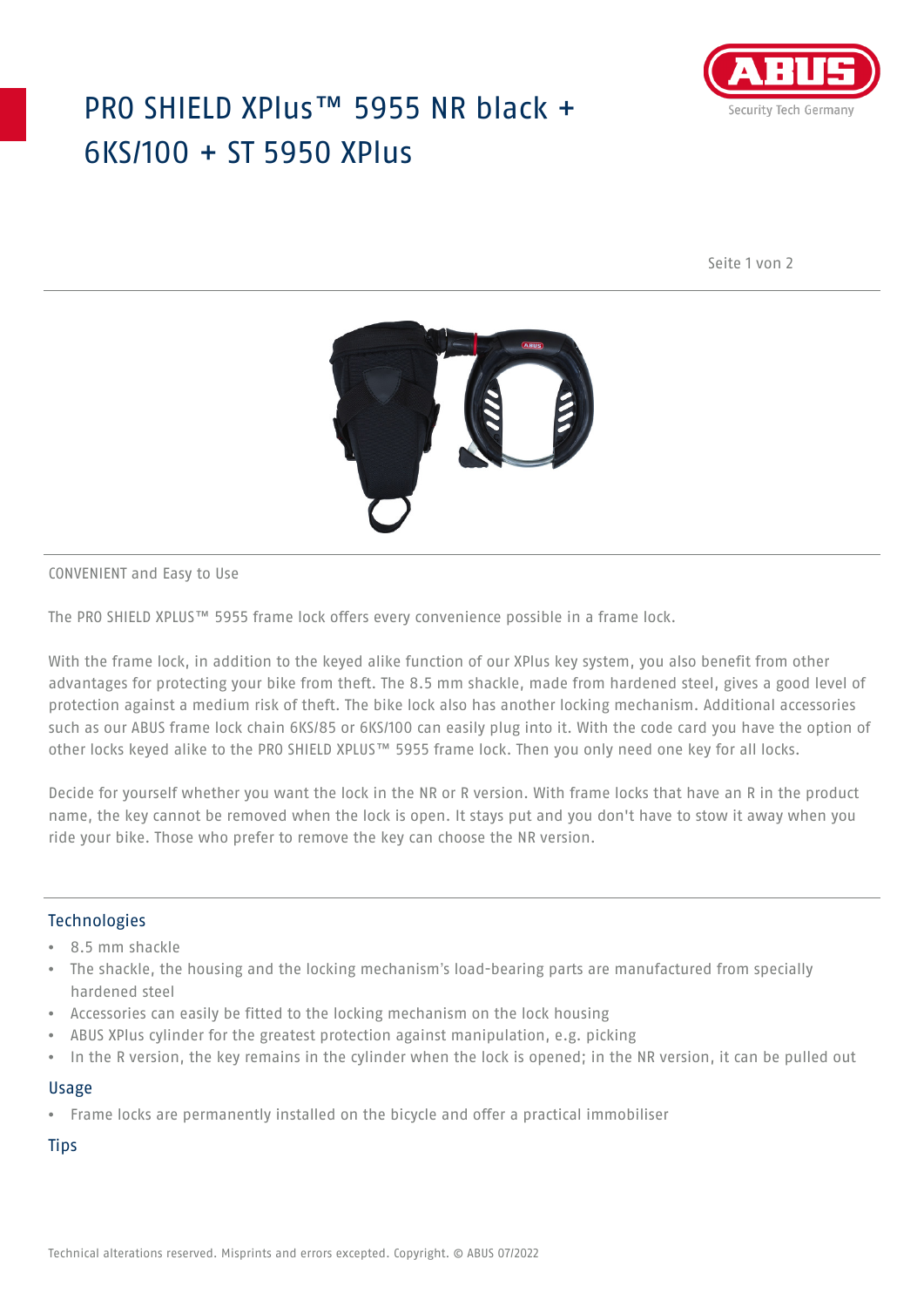## PRO SHIELD XPlus™ 5955 NR black + 6KS/100 + ST 5950 XPlus



Seite 1 von 2



CONVENIENT and Easy to Use

The PRO SHIELD XPLUS™ 5955 frame lock offers every convenience possible in a frame lock.

With the frame lock, in addition to the keyed alike function of our XPlus key system, you also benefit from other advantages for protecting your bike from theft. The 8.5 mm shackle, made from hardened steel, gives a good level of protection against a medium risk of theft. The bike lock also has another locking mechanism. Additional accessories such as our ABUS frame lock chain 6KS/85 or 6KS/100 can easily plug into it. With the code card you have the option of other locks keyed alike to the PRO SHIELD XPLUS™ 5955 frame lock. Then you only need one key for all locks.

Decide for yourself whether you want the lock in the NR or R version. With frame locks that have an R in the product name, the key cannot be removed when the lock is open. It stays put and you don't have to stow it away when you ride your bike. Those who prefer to remove the key can choose the NR version.

### **Technologies**

- 8.5 mm shackle
- The shackle, the housing and the locking mechanism's load-bearing parts are manufactured from specially hardened steel
- Accessories can easily be fitted to the locking mechanism on the lock housing
- ABUS XPlus cylinder for the greatest protection against manipulation, e.g. picking
- In the R version, the key remains in the cylinder when the lock is opened; in the NR version, it can be pulled out

### Usage

• Frame locks are permanently installed on the bicycle and offer a practical immobiliser

**Tips**